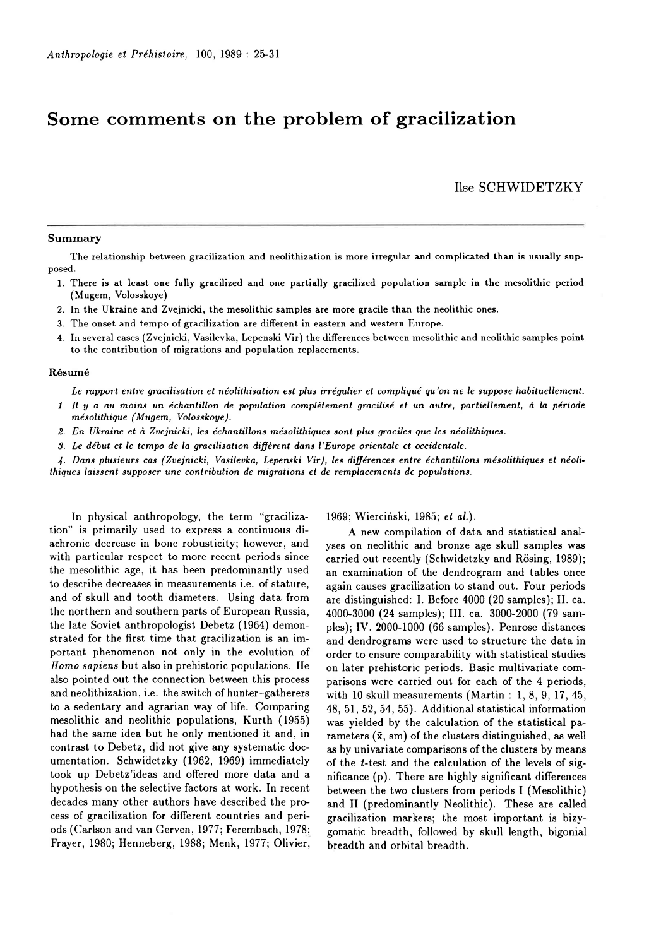## Some comments on the problem of gracilization

Ilse SCHWIDETZKY

## Summary

The relationship between gracilization and neolithization is more irregular and complicated than is usually supposed.

- l. There is at least one fully gracilized and one partially gracilized population sample in the mesolithic period (Mugem, Volosskoye)
- 2. In the Ukraine and Zvejnicki, the mesolithic samples are more gracile than the neolithic ones.
- 3. The onset and tempo of gracilization are different in eastern and western Europe.
- 4. In several cases (Zvejnicki, Vasilevka, Lepenski Vir) the differences between mesolithic and neolithic samples point to the contribution of migrations and population replacements.

## Résumé

Le rapport entre gracilisation et néolithisation est plus irrégulier et compliqué qu'on ne le suppse habituellement.

- 1. Il V a au moins un échantillon de population complètement gracilisé et un autre, partiellement, à Ia période mésolithique ( Mugem, Volosskoye).
- 2. En Ukraine et à Zuejnicki, les échantillons mésolithiques sont plus graciles que les néolithiques.
- 3. Le début et Ie tempo de la gracilisation diffèrent dans I'Europe orientale et occidentale.

l. Dans plusieurs cas (Zaejnicki, Vasilevka, Lepenski Vir), les différences entre échantillons mésolithiques et néolithiques laissent supposer une contribution de migrations et de remplacements de populations.

In physical anthropology, the term "gracilization" is primarily used to express a continuous diachronic decrease in bone robusticity; however, and with particular respect to more recent periods since the mesolithic age, it has been predominantly used to describe decreases in measurements i.e. of stature. and of skull and tooth diameters. Using data from the northern and southern parts of European Russia, the late Soviet anthropologist Debetz (1964) demonstrated for the first time that gracilization is an important phenomenon not only in the evolution of Homo sapiens but also in prehistoric populations. He also pointed out the connection between this process and neolithization, i.e. the switch of hunter-gatherers to a sedentary and agrarian way of life. Cornparing mesolithic and neolithic populations, Kurth ( 1955) had the same idea but he only mentioned it and, in contrast to Debetz, did not give any systematic documentation. Schwidetzky (1962, 1969) immediately took up Debetz'ideas and offered more data and a hypothesis on the selective factors at work. In recent decades many other authors have described the process of gracilization for different countries and periods (Carlson and van Gerven, 1977; Ferembach, 1978; Frayer, 1980; Henneberg, 1988; Menk, 1977; Olivier,

1969; Wierciński, 1985; et al.).

A new compilation of data and statistical analyses on neolithic and bronze age skull samples was carried out recently (Schwidetzky and Rösing, 1989); an examination of the dendrogram and tables once again causes gracilization to stand out. Four periods are distinguished: I. Before 4000 (20 samples); II. ca. 4000-3000 (24 samples); III. ca. 3000-2000 (79 samples); IV. 2000-1000 (66 samples). Penrose distances and dendrograms were used to structure the data in order to ensure comparability with statistical studies on later prehistoric periods. Basic multivariate comparisons were carried out for each of the 4 periods, with 10 skull measurements (Martin : 1, 8, 9, 17,45, 48, 51, 52, 54, 55). Additional statistical information was yielded by the calculation of the statistical parameters  $(\bar{x}, sm)$  of the clusters distinguished, as well as by univariate comparisons of the clusters by means of the l-test and the calculation of the levels of significance (p). There are highly significant differences between the two clusters from periods I (Mesolithic) and II (predominantly Neolithic). These are called gracilization markers; the most important is bizygomatic breadth, followed by skull length, bigonial breadth and orbital breadth.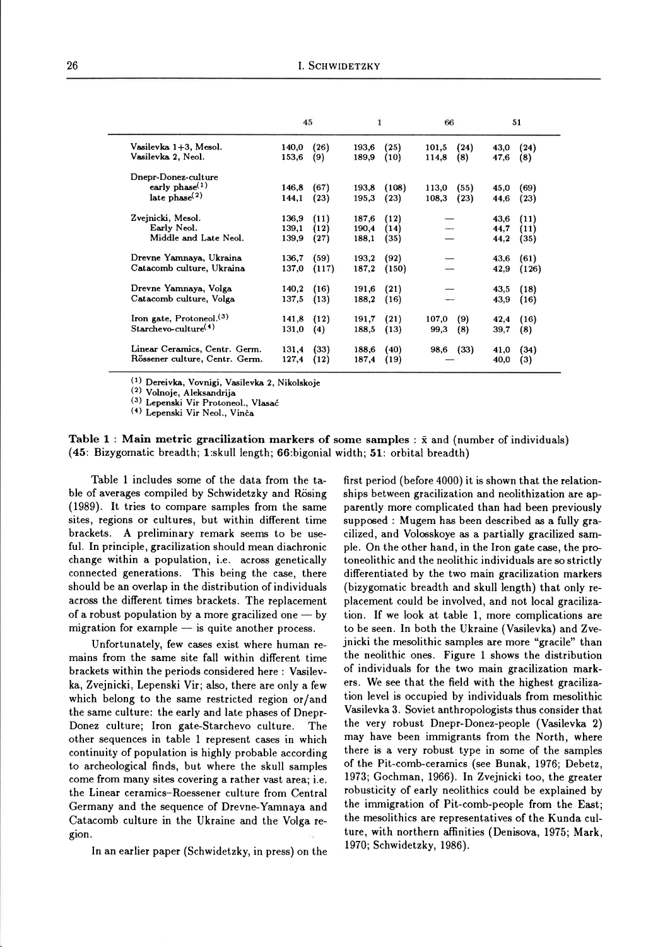|                                             | 45             |             | $\mathbf{1}$   |              | 66                            | 51           |             |
|---------------------------------------------|----------------|-------------|----------------|--------------|-------------------------------|--------------|-------------|
| Vasilevka 1+3, Mesol.<br>Vasilevka 2, Neol. | 140,0<br>153,6 | (26)<br>(9) | 193,6<br>189,9 | (25)<br>(10) | (24)<br>101,5<br>114,8<br>(8) | 43,0<br>47,6 | (24)<br>(8) |
|                                             |                |             |                |              |                               |              |             |
| Dnepr-Donez-culture                         |                |             |                |              |                               |              |             |
| early phase $(1)$                           | 146,8          | (67)        | 193,8          | (108)        | 113,0<br>(55)                 | 45,0         | (69)        |
| late $phase(2)$                             | 144,1          | (23)        | 195,3          | (23)         | 108,3<br>(23)                 | 44,6         | (23)        |
| Zvejnicki, Mesol.                           | 136,9          | (11)        | 187,6          | (12)         |                               | 43.6         | (11)        |
| Early Neol.                                 | 139,1          | (12)        | 190.4          | (14)         |                               | 44,7         | (11)        |
| Middle and Late Neol.                       | 139,9          | (27)        | 188.1          | (35)         |                               | 44,2         | (35)        |
| Drevne Yamnaya, Ukraina                     | 136,7          | (59)        | 193,2          | (92)         |                               | 43,6         | (61)        |
| Catacomb culture, Ukraina                   | 137.0          | (117)       | 187,2          | (150)        |                               | 42,9         | (126)       |
| Drevne Yamnaya, Volga                       | 140.2          | (16)        | 191,6          | (21)         |                               | 43,5         | (18)        |
| Catacomb culture, Volga                     | 137,5          | (13)        | 188,2          | (16)         |                               | 43,9         | (16)        |
| Iron gate, Protoneol. <sup>(3)</sup>        | 141,8          | (12)        | 191,7          | (21)         | 107,0<br>(9)                  | 42,4         | (16)        |
| $Starchevo-culture(4)$                      | 131,0          | (4)         | 188,5          | (13)         | (8)<br>99,3                   | 39,7         | (8)         |
| Linear Ceramics, Centr. Germ.               | 131,4          | (33)        | 188,6          | (40)         | (33)<br>98,6                  | 41,0         | (34)        |
| Rössener culture, Centr. Germ.              | 127,4          | (12)        | 187,4          | (19)         |                               | 40,0         | (3)         |

<sup>(1)</sup> Dereivka, Vovnigi, Vasilevka 2, Nikolskoje

<sup>(2)</sup> Volnoje, Aleksandrija

<sup>(3)</sup> Lepenski Vir Protoneol., Vlasać

<sup>(4)</sup> Lepenski Vir Neol., Vinča

Table 1: Main metric gracilization markers of some samples :  $\bar{x}$  and (number of individuals) (45: Bizygomatic breadth; 1:skull length; 66:bigonial width; 51: orbital breadth)

Table 1 includes some of the data from the table of averages compiled by Schwidetzky and Rösing (1989). It tries to compare samples from the same sites, regions or cultures, but within different time brackets. A preliminary remark seems to be useful. In principle, gracilization should mean diachronic change within a population, i.e. across genetically connected generations. This being the case, there should be an overlap in the distribution of individuals across the different times brackets. The replacement of a robust population by a more gracilized one  $-$  by migration for example  $-$  is quite another process.

Unfortunately, few cases exist where human remains from the same site fall within different time brackets within the periods considered here : Vasilevka, Zvejnicki, Lepenski Vir; also, there are only a few which belong to the same restricted region or/and the same culture: the early and late phases of Dnepr-Donez culture; Iron gate-Starchevo culture. The other sequences in table 1 represent cases in which continuity of population is highly probable according to archeological finds, but where the skull samples come from many sites covering a rather vast area; i.e. the Linear ceramics-Roessener culture from Central Germany and the sequence of Drevne-Yamnaya and Catacomb culture in the Ukraine and the Volga region.

In an earlier paper (Schwidetzky, in press) on the

first period (before 4000) it is shown that the relationships between gracilization and neolithization are apparently more complicated than had been previously supposed : Mugem has been described as a fully gracilized, and Volosskoye as a partially gracilized sample. On the other hand, in the Iron gate case, the protoneolithic and the neolithic individuals are so strictly differentiated by the two main gracilization markers (bizygomatic breadth and skull length) that only replacement could be involved, and not local gracilization. If we look at table 1, more complications are to be seen. In both the Ukraine (Vasilevka) and Zvejnicki the mesolithic samples are more "gracile" than the neolithic ones. Figure 1 shows the distribution of individuals for the two main gracilization markers. We see that the field with the highest gracilization level is occupied by individuals from mesolithic Vasilevka 3. Soviet anthropologists thus consider that the very robust Dnepr-Donez-people (Vasilevka 2) may have been immigrants from the North, where there is a very robust type in some of the samples of the Pit-comb-ceramics (see Bunak, 1976; Debetz, 1973; Gochman, 1966). In Zvejnicki too, the greater robusticity of early neolithics could be explained by the immigration of Pit-comb-people from the East; the mesolithics are representatives of the Kunda culture, with northern affinities (Denisova, 1975; Mark, 1970; Schwidetzky, 1986).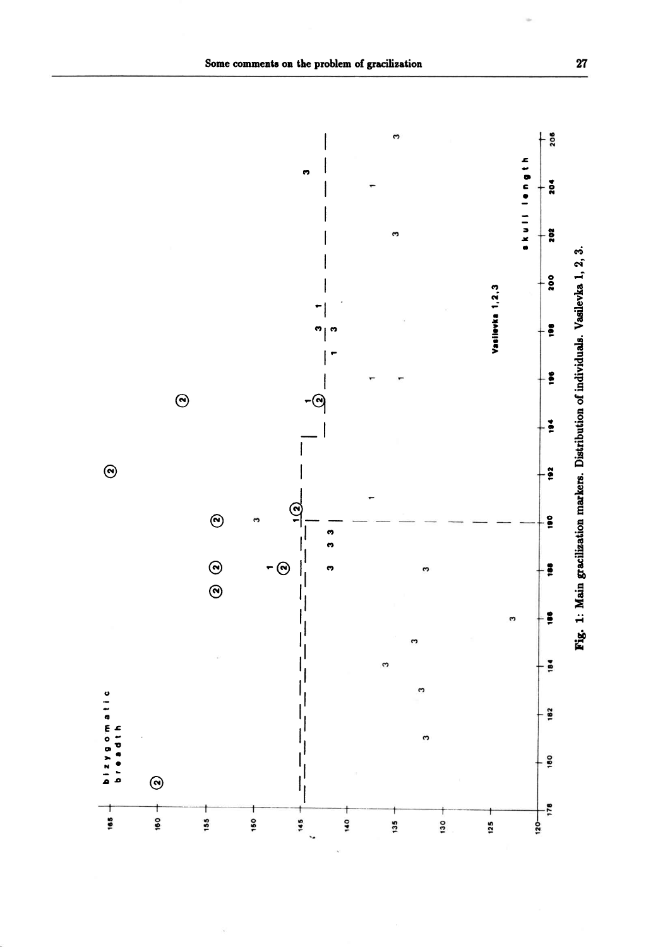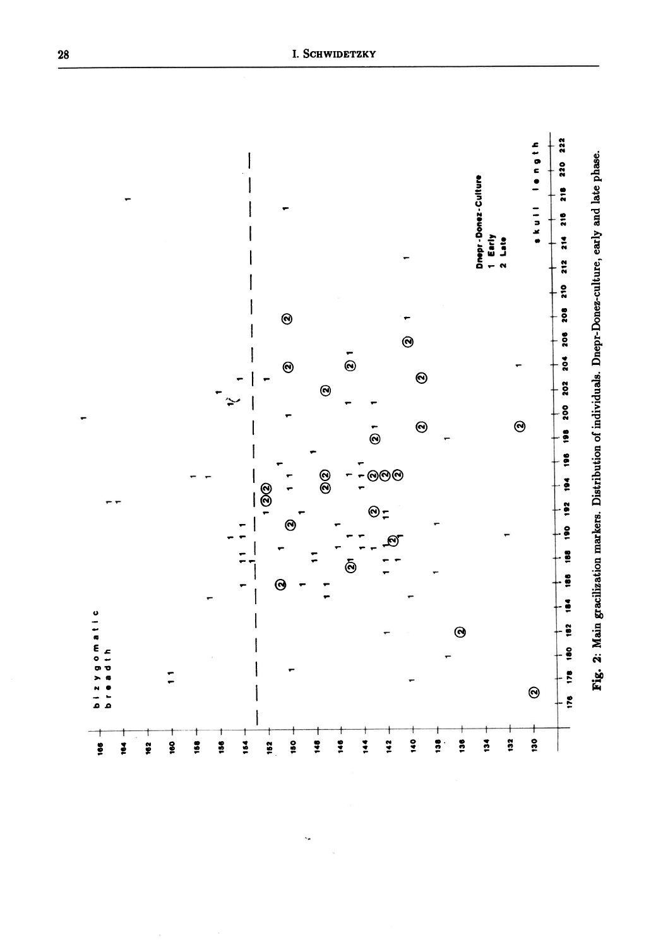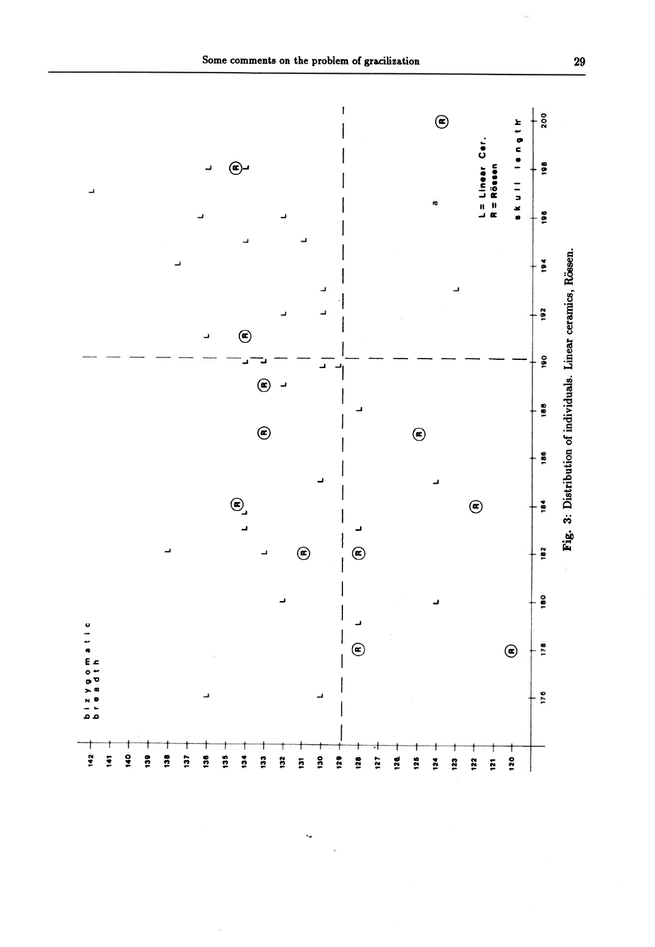

k,

Some comments on the problem of gracilization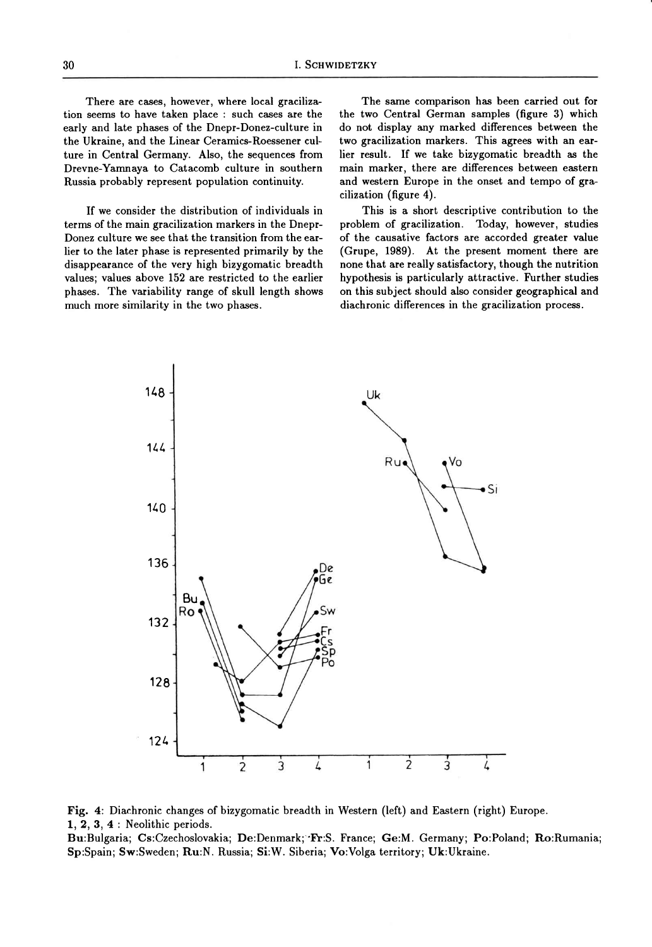There are cases, however, where local gracilization seems to have taken place : such cases are the early and late phases of the Dnepr-Donez-culture in the Ukraine, and the Linear Ceramics-Roessener culture in Central Germany. Also, the sequences from Drevne-Yanrnaya to Catacomb culture in southern Russia probably represent population continuity.

If we consider the distribution of individuals in terms of the main gracilization markers in the Dnepr-Donez culture we see that the transition from the earlier to the later phase is represented primarily by the disappearance of the very high bizygomatic breadth values; values above 152 are restricted to the earlier phases. The variability range of skull length shows much more similarity in the two phases.

The same comparison has been carried out for the two Central German samples (figure 3) which do not display any marked difierences between the two gracilization markers. This agrees with an earlier result. If we take bizygomatic breadth as the main marker, there are differences between eastern and western Europe in the onset and tempo of gracilization (figure 4).

This is a short descriptive contribution to the problem of gracilization. Today, however, studies of the causative factors are accorded greater value (Grupe, 1989). At the present moment there are none that are really satisfactory, though the nutrition hypothesis is particularly attractive. Further studies on this subject should also consider geographical and diachronic differences in the gracilization process.